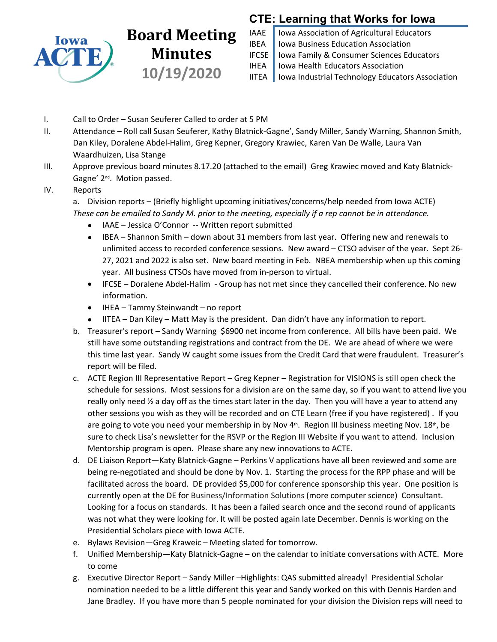

# **Board Meeting** IAAE **Minutes IFCSE 10/19/2020**

## **CTE: Learning that Works for Iowa**

Iowa Association of Agricultural Educators Iowa Business Education Association Iowa Family & Consumer Sciences Educators Iowa Health Educators Association Iowa Industrial Technology Educators Association

- I. Call to Order Susan Seuferer Called to order at 5 PM
- II. Attendance Roll call Susan Seuferer, Kathy Blatnick-Gagne', Sandy Miller, Sandy Warning, Shannon Smith, Dan Kiley, Doralene Abdel-Halim, Greg Kepner, Gregory Krawiec, Karen Van De Walle, Laura Van Waardhuizen, Lisa Stange
- III. Approve previous board minutes 8.17.20 (attached to the email) Greg Krawiec moved and Katy Blatnick-Gagne' 2nd. Motion passed.

#### IV. Reports

- a. Division reports (Briefly highlight upcoming initiatives/concerns/help needed from Iowa ACTE) *These can be emailed to Sandy M. prior to the meeting, especially if a rep cannot be in attendance.*
	- IAAE Jessica O'Connor -- Written report submitted
	- IBEA Shannon Smith down about 31 members from last year. Offering new and renewals to unlimited access to recorded conference sessions. New award – CTSO adviser of the year. Sept 26- 27, 2021 and 2022 is also set. New board meeting in Feb. NBEA membership when up this coming year. All business CTSOs have moved from in-person to virtual.
	- IFCSE Doralene Abdel-Halim Group has not met since they cancelled their conference. No new information.
	- IHEA Tammy Steinwandt no report
	- IITEA Dan Kiley Matt May is the president. Dan didn't have any information to report.
- b. Treasurer's report Sandy Warning \$6900 net income from conference. All bills have been paid. We still have some outstanding registrations and contract from the DE. We are ahead of where we were this time last year. Sandy W caught some issues from the Credit Card that were fraudulent. Treasurer's report will be filed.
- c. ACTE Region III Representative Report Greg Kepner Registration for VISIONS is still open check the schedule for sessions. Most sessions for a division are on the same day, so if you want to attend live you really only need  $\frac{1}{2}$  a day off as the times start later in the day. Then you will have a year to attend any other sessions you wish as they will be recorded and on CTE Learn (free if you have registered) . If you are going to vote you need your membership in by Nov  $4<sup>th</sup>$ . Region III business meeting Nov.  $18<sup>th</sup>$ , be sure to check Lisa's newsletter for the RSVP or the Region III Website if you want to attend. Inclusion Mentorship program is open. Please share any new innovations to ACTE.
- d. DE Liaison Report—Katy Blatnick-Gagne Perkins V applications have all been reviewed and some are being re-negotiated and should be done by Nov. 1. Starting the process for the RPP phase and will be facilitated across the board. DE provided \$5,000 for conference sponsorship this year. One position is currently open at the DE for Business/Information Solutions (more computer science) Consultant. Looking for a focus on standards. It has been a failed search once and the second round of applicants was not what they were looking for. It will be posted again late December. Dennis is working on the Presidential Scholars piece with Iowa ACTE.
- e. Bylaws Revision—Greg Kraweic Meeting slated for tomorrow.
- f. Unified Membership—Katy Blatnick-Gagne on the calendar to initiate conversations with ACTE. More to come
- g. Executive Director Report Sandy Miller –Highlights: QAS submitted already! Presidential Scholar nomination needed to be a little different this year and Sandy worked on this with Dennis Harden and Jane Bradley. If you have more than 5 people nominated for your division the Division reps will need to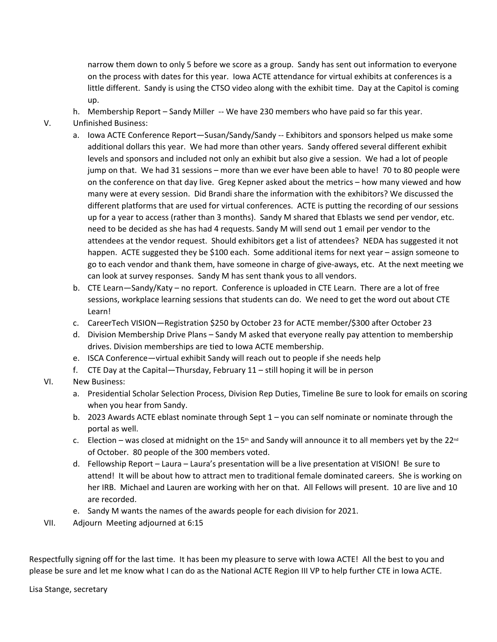narrow them down to only 5 before we score as a group. Sandy has sent out information to everyone on the process with dates for this year. Iowa ACTE attendance for virtual exhibits at conferences is a little different. Sandy is using the CTSO video along with the exhibit time. Day at the Capitol is coming up.

- h. Membership Report Sandy Miller -- We have 230 members who have paid so far this year.
- V. Unfinished Business:
	- a. Iowa ACTE Conference Report—Susan/Sandy/Sandy -- Exhibitors and sponsors helped us make some additional dollars this year. We had more than other years. Sandy offered several different exhibit levels and sponsors and included not only an exhibit but also give a session. We had a lot of people jump on that. We had 31 sessions – more than we ever have been able to have! 70 to 80 people were on the conference on that day live. Greg Kepner asked about the metrics – how many viewed and how many were at every session. Did Brandi share the information with the exhibitors? We discussed the different platforms that are used for virtual conferences. ACTE is putting the recording of our sessions up for a year to access (rather than 3 months). Sandy M shared that Eblasts we send per vendor, etc. need to be decided as she has had 4 requests. Sandy M will send out 1 email per vendor to the attendees at the vendor request. Should exhibitors get a list of attendees? NEDA has suggested it not happen. ACTE suggested they be \$100 each. Some additional items for next year – assign someone to go to each vendor and thank them, have someone in charge of give-aways, etc. At the next meeting we can look at survey responses. Sandy M has sent thank yous to all vendors.
	- b. CTE Learn—Sandy/Katy no report. Conference is uploaded in CTE Learn. There are a lot of free sessions, workplace learning sessions that students can do. We need to get the word out about CTE Learn!
	- c. CareerTech VISION—Registration \$250 by October 23 for ACTE member/\$300 after October 23
	- d. Division Membership Drive Plans Sandy M asked that everyone really pay attention to membership drives. Division memberships are tied to Iowa ACTE membership.
	- e. ISCA Conference—virtual exhibit Sandy will reach out to people if she needs help
	- f. CTE Day at the Capital—Thursday, February 11 still hoping it will be in person
- VI. New Business:
	- a. Presidential Scholar Selection Process, Division Rep Duties, Timeline Be sure to look for emails on scoring when you hear from Sandy.
	- b. 2023 Awards ACTE eblast nominate through Sept 1 you can self nominate or nominate through the portal as well.
	- c. Election was closed at midnight on the 15<sup>th</sup> and Sandy will announce it to all members yet by the 22<sup>nd</sup> of October. 80 people of the 300 members voted.
	- d. Fellowship Report Laura Laura's presentation will be a live presentation at VISION! Be sure to attend! It will be about how to attract men to traditional female dominated careers. She is working on her IRB. Michael and Lauren are working with her on that. All Fellows will present. 10 are live and 10 are recorded.
	- e. Sandy M wants the names of the awards people for each division for 2021.
- VII. Adjourn Meeting adjourned at 6:15

Respectfully signing off for the last time. It has been my pleasure to serve with Iowa ACTE! All the best to you and please be sure and let me know what I can do as the National ACTE Region III VP to help further CTE in Iowa ACTE.

Lisa Stange, secretary